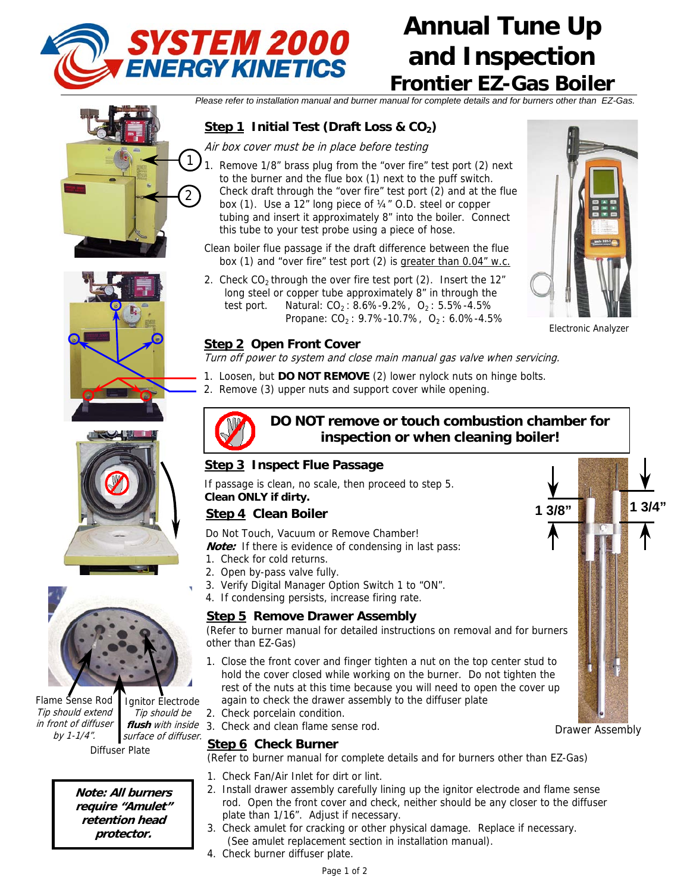

# **Annual Tune Up and Inspection Frontier EZ-Gas Boiler**

*Please refer to installation manual and burner manual for complete details and for burners other than EZ-Gas.*

# **Step 1** Initial Test (Draft Loss & CO<sub>2</sub>)

Air box cover must be in place before testing

- Remove 1/8" brass plug from the "over fire" test port (2) next to the burner and the flue box (1) next to the puff switch. Check draft through the "over fire" test port (2) and at the flue box (1). Use a 12" long piece of ¼" O.D. steel or copper tubing and insert it approximately 8" into the boiler. Connect this tube to your test probe using a piece of hose.  $\mathbf{1}$ 2
	- Clean boiler flue passage if the draft difference between the flue box (1) and "over fire" test port (2) is greater than 0.04" w.c.
	- 2. Check  $CO<sub>2</sub>$  through the over fire test port (2). Insert the 12" long steel or copper tube approximately 8" in through the test port. Natural:  $CO_2$ : 8.6%-9.2%,  $O_2$ : 5.5%-4.5% Propane:  $CO_2$ : 9.7%-10.7%,  $O_2$ : 6.0%-4.5%



Electronic Analyzer

Drawer Assembly

**1 3/8" 1 3/4"**

#### **Step 2 Open Front Cover**

Turn off power to system and close main manual gas valve when servicing.

- 1. Loosen, but **DO NOT REMOVE** (2) lower nylock nuts on hinge bolts.
- 2. Remove (3) upper nuts and support cover while opening.





Flame Sense Rod Tip should extend in front of diffuser by 1-1/4".

Diffuser Plate Ignitor Electrode Tip should be **flush** with inside surface of diffuser.

**Note: All burners require "Amulet" retention head protector.**



## **DO NOT remove or touch combustion chamber for inspection or when cleaning boiler!**

## **Step 3 Inspect Flue Passage**

If passage is clean, no scale, then proceed to step 5. **Clean ONLY if dirty.** 

## **Step 4 Clean Boiler**

Do Not Touch, Vacuum or Remove Chamber!

**Note:** If there is evidence of condensing in last pass:

- 1. Check for cold returns.
- 2. Open by-pass valve fully.
- 3. Verify Digital Manager Option Switch 1 to "ON".
- 4. If condensing persists, increase firing rate.

#### **Step 5 Remove Drawer Assembly**

(Refer to burner manual for detailed instructions on removal and for burners other than EZ-Gas)

- 1. Close the front cover and finger tighten a nut on the top center stud to hold the cover closed while working on the burner. Do not tighten the rest of the nuts at this time because you will need to open the cover up again to check the drawer assembly to the diffuser plate
- 2. Check porcelain condition.
- 3. Check and clean flame sense rod.

#### **Step 6 Check Burner**

(Refer to burner manual for complete details and for burners other than EZ-Gas)

- 1. Check Fan/Air Inlet for dirt or lint.
- 2. Install drawer assembly carefully lining up the ignitor electrode and flame sense rod. Open the front cover and check, neither should be any closer to the diffuser plate than 1/16". Adjust if necessary.
- 3. Check amulet for cracking or other physical damage. Replace if necessary. (See amulet replacement section in installation manual).
- 4. Check burner diffuser plate.